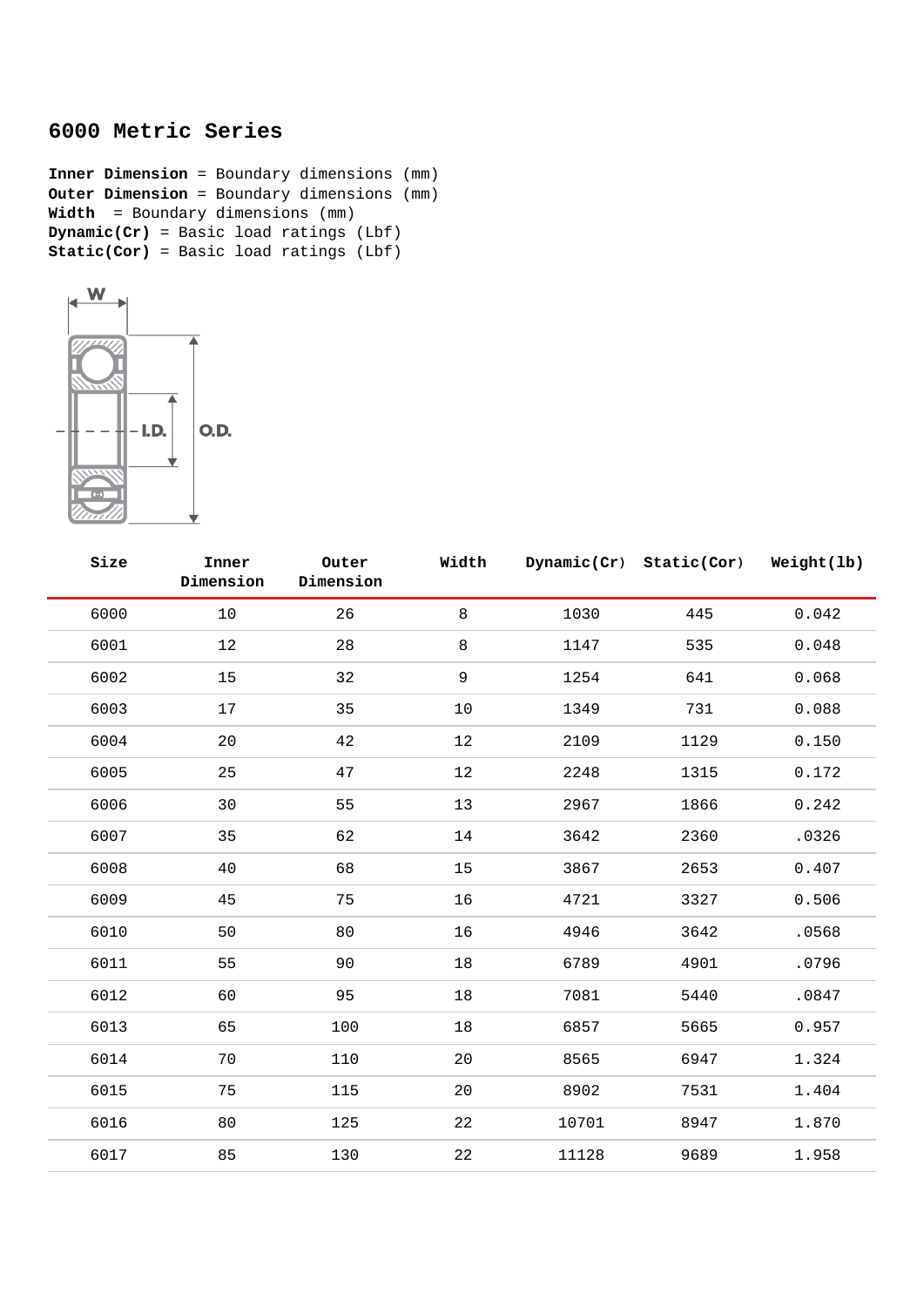## **6000 Metric Series**

**Inner Dimension** = Boundary dimensions (mm) **Outer Dimension** = Boundary dimensions (mm) **Width** = Boundary dimensions (mm) **Dynamic(Cr)** = Basic load ratings (Lbf) **Static(Cor)** = Basic load ratings (Lbf)



| Size | Inner<br>Dimension | Outer<br>Dimension | Width       |       | Dynamic(Cr) Static(Cor) | Weight(lb) |
|------|--------------------|--------------------|-------------|-------|-------------------------|------------|
| 6000 | 10                 | 26                 | 8           | 1030  | 445                     | 0.042      |
| 6001 | 12                 | 28                 | 8           | 1147  | 535                     | 0.048      |
| 6002 | 15                 | 32                 | $\mathsf 9$ | 1254  | 641                     | 0.068      |
| 6003 | 17                 | 35                 | 10          | 1349  | 731                     | 0.088      |
| 6004 | 20                 | 42                 | 12          | 2109  | 1129                    | 0.150      |
| 6005 | 25                 | 47                 | 12          | 2248  | 1315                    | 0.172      |
| 6006 | 30                 | 55                 | 13          | 2967  | 1866                    | 0.242      |
| 6007 | 35                 | 62                 | 14          | 3642  | 2360                    | .0326      |
| 6008 | 40                 | 68                 | 15          | 3867  | 2653                    | 0.407      |
| 6009 | 45                 | 75                 | 16          | 4721  | 3327                    | 0.506      |
| 6010 | 50                 | 80                 | 16          | 4946  | 3642                    | .0568      |
| 6011 | 55                 | 90                 | 18          | 6789  | 4901                    | .0796      |
| 6012 | 60                 | 95                 | $18\,$      | 7081  | 5440                    | .0847      |
| 6013 | 65                 | 100                | $18\,$      | 6857  | 5665                    | 0.957      |
| 6014 | 70                 | 110                | 20          | 8565  | 6947                    | 1.324      |
| 6015 | 75                 | 115                | 20          | 8902  | 7531                    | 1.404      |
| 6016 | 80                 | 125                | 22          | 10701 | 8947                    | 1.870      |
| 6017 | 85                 | 130                | 22          | 11128 | 9689                    | 1.958      |